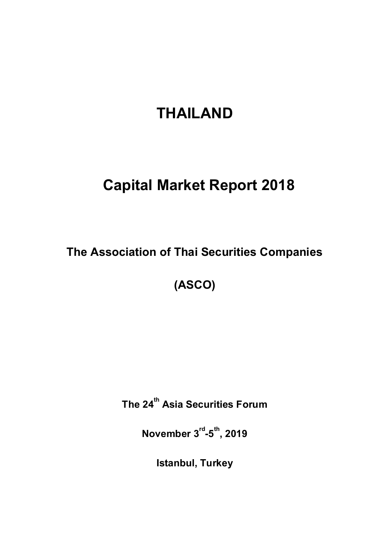# **THAILAND**

# **Capital Market Report 2018**

**The Association of Thai Securities Companies**

**(ASCO)**

**The 24 th Asia Securities Forum**

**November 3rd -5 th , 2019**

**Istanbul, Turkey**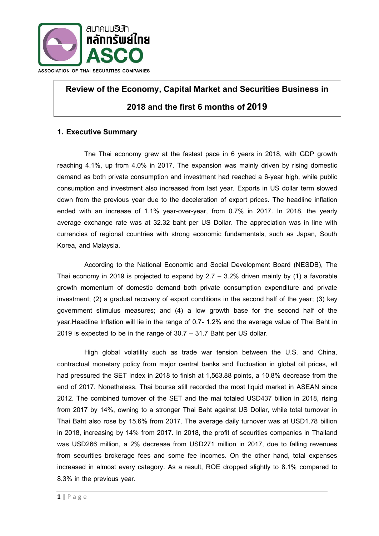

# **Review of the Economy, Capital Market and Securities Business in 2018 and the first6 months of2019**

# **1. Executive Summary**

The Thai economy grew at the fastest pace in 6 years in 2018, with GDP growth reaching 4.1%, up from 4.0% in 2017. The expansion was mainly driven by rising domestic demand as both private consumption and investment had reached a 6-year high, while public consumption and investment also increased from last year. Exports in US dollar term slowed down from the previous year due to the deceleration of export prices. The headline inflation ended with an increase of 1.1% year-over-year, from 0.7% in 2017. In 2018, the yearly average exchange rate was at 32.32 baht per US Dollar. The appreciation was in line with currencies of regional countries with strong economic fundamentals, such as Japan, South Korea, and Malaysia.

According to the National Economic and Social Development Board (NESDB), The Thai economy in 2019 is projected to expand by  $2.7 - 3.2%$  driven mainly by (1) a favorable growth momentum of domestic demand both private consumption expenditure and private investment; (2) a gradual recovery of export conditions in the second half of the year; (3) key government stimulus measures; and (4) a low growth base for the second half of the year.Headline Inflation will lie in the range of 0.7- 1.2% and the average value of Thai Baht in 2019 is expected to be in the range of 30.7 – 31.7 Baht per US dollar.

High global volatility such as trade war tension between the U.S. and China, contractual monetary policy from major central banks and fluctuation in global oil prices, all had pressured the SET Index in 2018 to finish at 1,563.88 points, a 10.8% decrease from the end of 2017. Nonetheless, Thai bourse still recorded the most liquid market in ASEAN since 2012. The combined turnover of the SET and the mai totaled USD437 billion in 2018, rising from 2017 by 14%, owning to a stronger Thai Baht against US Dollar, while total turnover in Thai Baht also rose by 15.6% from 2017. The average daily turnover was at USD1.78 billion in 2018, increasing by 14% from 2017. In 2018, the profit of securities companies in Thailand was USD266 million, a 2% decrease from USD271 million in 2017, due to falling revenues from securities brokerage fees and some fee incomes. On the other hand, total expenses increased in almost every category. As a result, ROE dropped slightly to 8.1% compared to 8.3% in the previous year.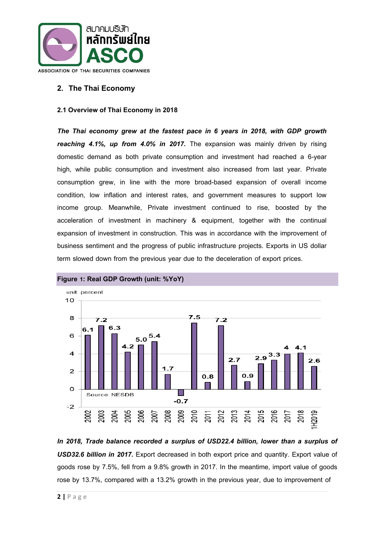

# **2. The Thai Economy**

#### **2.1 Overview of Thai Economy in 2018**

*The Thai economy grew at the fastest pace in 6 years in 2018, with GDP growth reaching 4.1%, up from 4.0% in 2017.* The expansion was mainly driven by rising domestic demand as both private consumption and investment had reached a 6-year high, while public consumption and investment also increased from last year. Private consumption grew, in line with the more broad-based expansion of overall income condition, low inflation and interest rates, and government measures to support low income group. Meanwhile, Private investment continued to rise, boosted by the acceleration of investment in machinery & equipment, together with the continual expansion of investment in construction. This was in accordance with the improvement of business sentiment and the progress of public infrastructure projects. Exports in US dollar term slowed down from the previous year due to the deceleration of export prices.



*In 2018, Trade balance recorded a surplus of USD22.4 billion, lower than a surplus of USD32.6 billion in 2017.* Export decreased in both export price and quantity. Export value of goods rose by 7.5%, fell from a 9.8% growth in 2017. In the meantime, import value of goods rose by 13.7%, compared with a 13.2% growth in the previous year, due to improvement of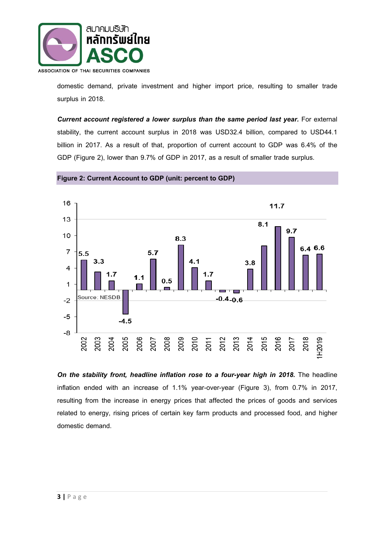

domestic demand, private investment and higher import price, resulting to smaller trade surplus in 2018.

*Current account registered a lower surplus than the same period last year.* For external stability, the current account surplus in 2018 was USD32.4 billion, compared to USD44.1 billion in 2017. As a result of that, proportion of current account to GDP was 6.4% of the GDP (Figure 2), lower than 9.7% of GDP in 2017, as a result of smaller trade surplus.

**Figure 2: Current Account to GDP (unit: percent to GDP)**



**On the stability front, headline inflation rose to a four-year high in 2018.** The headline inflation ended with an increase of 1.1% year-over-year (Figure 3), from 0.7% in 2017, resulting from the increase in energy prices that affected the prices of goods and services related to energy, rising prices of certain key farm products and processed food, and higher domestic demand.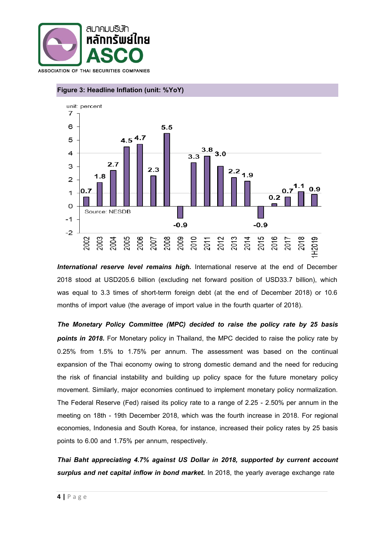



# **Figure 3: Headline Inflation (unit: %YoY)**

*International reserve level remains high.* International reserve at the end of December 2018 stood at USD205.6 billion (excluding net forward position of USD33.7 billion), which was equal to 3.3 times of short-term foreign debt (at the end of December 2018) or 10.6 months of import value (the average of import value in the fourth quarter of 2018).

*The Monetary Policy Committee (MPC) decided to raise the policy rate by 25 basis points in 2018.* For Monetary policy in Thailand, the MPC decided to raise the policy rate by 0.25% from 1.5% to 1.75% per annum. The assessment was based on the continual expansion of the Thai economy owing to strong domestic demand and the need for reducing the risk of financial instability and building up policy space for the future monetary policy movement. Similarly, major economies continued to implement monetary policy normalization. The Federal Reserve (Fed) raised its policy rate to a range of 2.25 - 2.50% per annum in the meeting on 18th - 19th December 2018, which was the fourth increase in 2018. For regional economies, Indonesia and South Korea, for instance, increased their policy rates by 25 basis points to 6.00 and 1.75% per annum, respectively.

*Thai Baht appreciating 4.7% against US Dollar in 2018, supported by current account surplus and net capital inflow in bond market.* In 2018, the yearly average exchange rate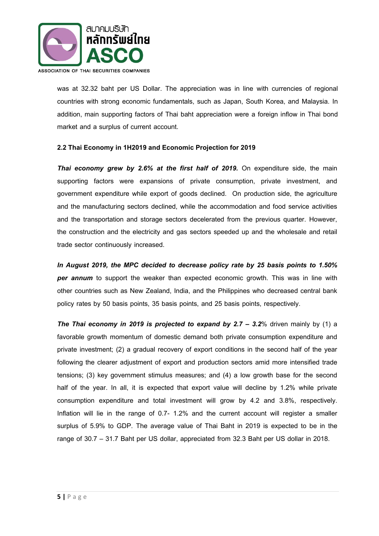

was at 32.32 baht per US Dollar. The appreciation was in line with currencies of regional countries with strong economic fundamentals, such as Japan, South Korea, and Malaysia. In addition, main supporting factors of Thai baht appreciation were a foreign inflow in Thai bond market and a surplus of current account.

### **2.2Thai Economy in 1H2019and Economic Projection for 2019**

**Thai economy grew by 2.6% at the first half of 2019.** On expenditure side, the main supporting factors were expansions of private consumption, private investment, and government expenditure while export of goods declined. On production side, the agriculture and the manufacturing sectors declined, while the accommodation and food service activities and the transportation and storage sectors decelerated from the previous quarter. However, the construction and the electricity and gas sectors speeded up and the wholesale and retail trade sector continuously increased.

*In August 2019, the MPC decided to decrease policy rate by 25 basis points to 1.50% per annum* to support the weaker than expected economic growth. This was in line with other countries such as New Zealand, India, and the Philippines who decreased central bank policy rates by 50 basis points, 35 basis points, and 25 basis points, respectively.

**The Thai economy in 2019 is projected to expand by 2.7 – 3.2% driven mainly by (1) a** favorable growth momentum of domestic demand both private consumption expenditure and private investment; (2) a gradual recovery of export conditions in the second half of the year following the clearer adjustment of export and production sectors amid more intensified trade tensions; (3) key government stimulus measures; and (4) a low growth base for the second half of the year. In all, it is expected that export value will decline by 1.2% while private consumption expenditure and total investment will grow by 4.2 and 3.8%, respectively. Inflation will lie in the range of 0.7- 1.2% and the current account will register a smaller surplus of 5.9% to GDP. The average value of Thai Baht in 2019 is expected to be in the range of 30.7 – 31.7 Baht per US dollar, appreciated from 32.3 Baht per US dollar in 2018.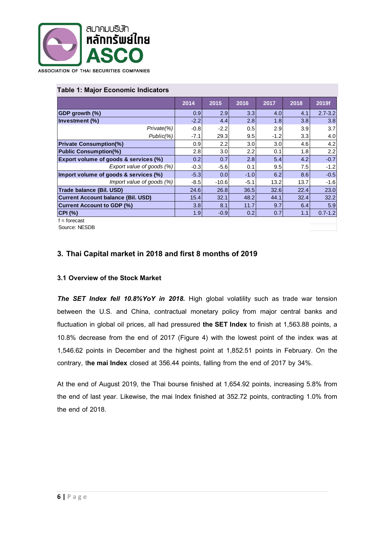

#### **Table 1: Major Economic Indicators**

|                                                  | 2014             | 2015             | 2016             | 2017   | 2018 | 2019f       |
|--------------------------------------------------|------------------|------------------|------------------|--------|------|-------------|
| GDP growth (%)                                   | 0.9 <sub>l</sub> | 2.9 <sub>l</sub> | 3.3 <sub>l</sub> | 4.0    | 4.1  | $2.7 - 3.2$ |
| Investment (%)                                   | $-2.2$           | 4.4              | 2.8              | 1.8    | 3.8  | 3.8         |
| Private(%)                                       | $-0.8$           | $-2.2$           | 0.5              | 2.9    | 3.9  | 3.7         |
| $Public(\%)$                                     | -7.1             | 29.3             | 9.5              | $-1.2$ | 3.3  | 4.0         |
| <b>Private Consumption(%)</b>                    | 0.9              | $2.2\phantom{0}$ | 3.0              | 3.0    | 4.6  | 4.2         |
| <b>Public Consumption(%)</b>                     | 2.8              | 3.0              | 2.2              | 0.1    | 1.8  | 2.2         |
| <b>Export volume of goods &amp; services (%)</b> | 0.2              | 0.7              | 2.8              | 5.4    | 4.2  | $-0.7$      |
| Export value of goods (%)                        | $-0.3$           | $-5.6$           | 0.1              | 9.5    | 7.5  | $-1.2$      |
| Import volume of goods & services (%)            | $-5.3$           | 0.0 <sub>1</sub> | $-1.0$           | 6.2    | 8.6  | $-0.5$      |
| Import value of goods (%)                        | $-8.5$           | $-10.6$          | $-5.1$           | 13.2   | 13.7 | $-1.6$      |
| Trade balance (Bil. USD)                         | 24.6             | 26.8             | 36.5             | 32.6   | 22.4 | 23.0        |
| <b>Current Account balance (Bil. USD)</b>        | 15.4             | 32.1             | 48.2             | 44.1   | 32.4 | 32.2        |
| <b>Current Account to GDP (%)</b>                | 3.8              | 8.1              | 11.7             | 9.7    | 6.4  | 5.9         |
| CPI (%)                                          | 1.9              | $-0.9$           | 0.2              | 0.7    | 1.1  | $0.7 - 1.2$ |
| $f =$ forecast                                   |                  |                  |                  |        |      |             |

Source: NESDB

# **3. Thai Capital market in 2018 and first 8 monthsof 2019**

#### **3.1 Overview of the Stock Market**

*The SET Index fell 10.8%YoY in 2018.* High global volatility such as trade war tension between the U.S. and China, contractual monetary policy from major central banks and fluctuation in global oil prices, all had pressured **the SET Index** to finish at 1,563.88 points, a 10.8% decrease from the end of 2017 (Figure 4) with the lowest point of the index was at 1,546.62 points in December and the highest point at 1,852.51 points in February. On the contrary, t**he mai Index** closed at 356.44 points, falling from the end of 2017 by 34%.

At the end of August 2019, the Thai bourse finished at 1,654.92 points, increasing 5.8% from the end of last year. Likewise, the mai Index finished at 352.72 points, contracting 1.0% from the end of 2018.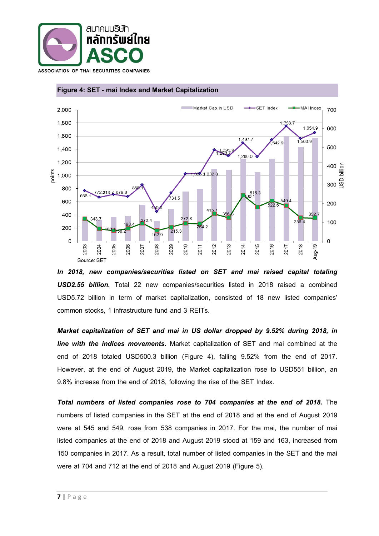



#### **Figure 4: SET - mai Index and Market Capitalization**



*Market capitalization of SET and mai in US dollar dropped by 9.52% during 2018, in line with the indices movements.* Market capitalization of SET and mai combined at the end of 2018 totaled USD500.3 billion (Figure 4), falling 9.52% from the end of 2017. However, at the end of August 2019, the Market capitalization rose to USD551 billion, an 9.8% increase from the end of 2018, following the rise of the SET Index.

*Total numbers of listed companies rose to 704 companies at the end of 2018.* The numbers of listed companies in the SET at the end of 2018 and at the end of August 2019 were at 545 and 549, rose from 538 companies in 2017. For the mai, the number of mai listed companies at the end of 2018 and August 2019 stood at 159 and 163, increased from 150 companies in 2017. As a result, total number of listed companies in the SET and the mai were at 704 and 712 at the end of 2018 and August 2019 (Figure 5).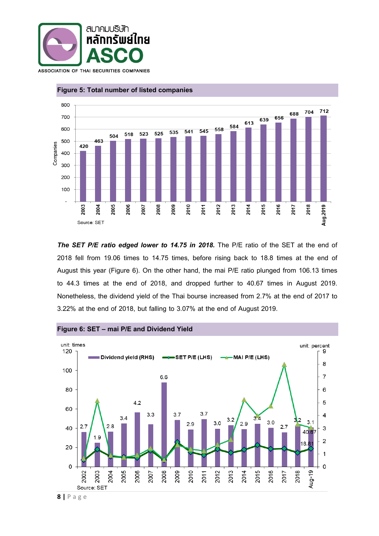



#### **Figure 5: Total number of listed companies**

*The SET P/E ratio edged lower to 14.75 in 2018.* The P/E ratio of the SET at the end of 2018 fell from 19.06 times to 14.75 times, before rising back to 18.8 times at the end of August this year (Figure 6). On the other hand, the mai P/E ratio plunged from 106.13 times to 44.3 times at the end of 2018, and dropped further to 40.67 times in August 2019. Nonetheless, the dividend yield of the Thai bourse increased from 2.7% at the end of 2017 to 3.22% at the end of 2018, but falling to 3.07% at the end of August 2019.



**Figure 6: SET – mai P/E and Dividend Yield**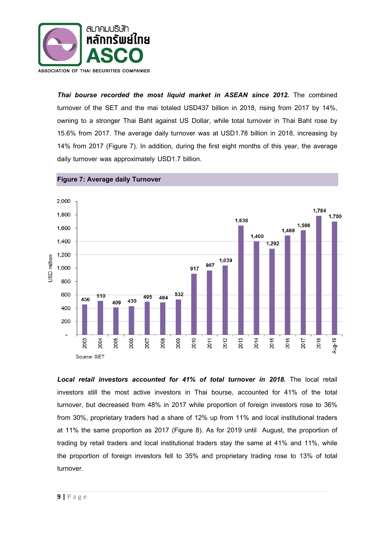

*Thai bourse recorded the most liquid market in ASEAN since 2012.* The combined turnover of the SET and the mai totaled USD437 billion in 2018, rising from 2017 by 14%, owning to a stronger Thai Baht against US Dollar, while total turnover in Thai Baht rose by 15.6% from 2017. The average daily turnover was at USD1.78 billion in 2018, increasing by 14% from 2017 (Figure 7). In addition, during the first eight months of this year, the average daily turnover was approximately USD1.7 billion.



**Figure 7: Average daily Turnover**

Local retail investors accounted for 41% of total turnover in 2018. The local retail investors still the most active investors in Thai bourse, accounted for 41% of the total turnover, but decreased from 48% in 2017 while proportion of foreign investors rose to 36% from 30%, proprietary traders had a share of 12% up from 11% and local institutional traders at 11% the same proportion as 2017 (Figure 8). As for 2019 until August, the proportion of trading by retail traders and local institutional traders stay the same at 41% and 11%, while the proportion of foreign investors fell to 35% and proprietary trading rose to 13% of total turnover.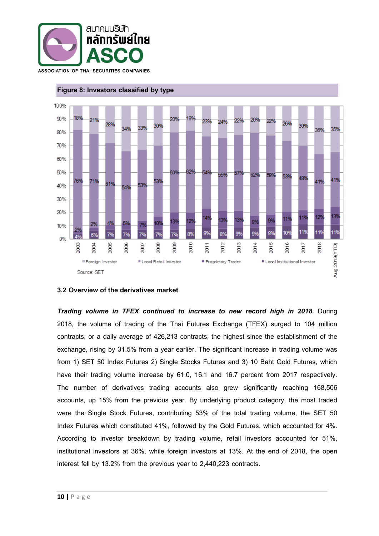



#### **Figure 8: Investors classified by type**

#### **3.2 Overview of the derivatives market**

*Trading volume in TFEX continued to increase to new record high in 2018.* During 2018, the volume of trading of the Thai Futures Exchange (TFEX) surged to 104 million contracts, or a daily average of 426,213 contracts, the highest since the establishment of the exchange, rising by 31.5% from a year earlier. The significant increase in trading volume was from 1) SET 50 Index Futures 2) Single Stocks Futures and 3) 10 Baht Gold Futures, which have their trading volume increase by 61.0, 16.1 and 16.7 percent from 2017 respectively. The number of derivatives trading accounts also grew significantly reaching 168,506 accounts, up 15% from the previous year. By underlying product category, the most traded were the Single Stock Futures, contributing 53% of the total trading volume, the SET 50 Index Futures which constituted 41%, followed by the Gold Futures, which accounted for 4%. According to investor breakdown by trading volume, retail investors accounted for 51%, institutional investors at 36%, while foreign investors at 13%. At the end of 2018, the open interest fell by 13.2% from the previous year to 2,440,223 contracts.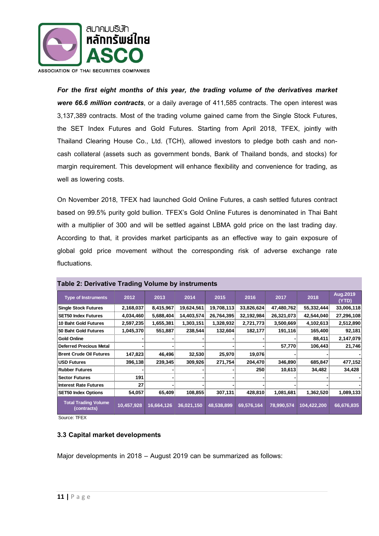

*For the first eight months of this year, the trading volume of the derivatives market were 66.6 million contracts*, or a daily average of 411,585 contracts. The open interest was 3,137,389 contracts. Most of the trading volume gained came from the Single Stock Futures, the SET Index Futures and Gold Futures. Starting from April 2018, TFEX, jointly with Thailand Clearing House Co., Ltd. (TCH), allowed investors to pledge both cash and noncash collateral (assets such as government bonds, Bank of Thailand bonds, and stocks) for margin requirement. This development will enhance flexibility and convenience for trading, as well as lowering costs.

On November 2018, TFEX had launched Gold Online Futures, a cash settled futures contract based on 99.5% purity gold bullion. TFEX's Gold Online Futures is denominated in Thai Baht with a multiplier of 300 and will be settled against LBMA gold price on the last trading day. According to that, it provides market participants as an effective way to gain exposure of global gold price movement without the corresponding risk of adverse exchange rate fluctuations.

| <b>Type of Instruments</b>                 | 2012       | 2013       | 2014       | 2015       | 2016       | 2017       | 2018        | Aug.2019<br>(YTD) |
|--------------------------------------------|------------|------------|------------|------------|------------|------------|-------------|-------------------|
| <b>Single Stock Futures</b>                | 2,168,037  | 8,415,967  | 19,624,561 | 19,708,113 | 33,826,624 | 47,480,762 | 55,332,444  | 33,006,118        |
| <b>ISET50 Index Futures</b>                | 4,034,460  | 5,688,404  | 14,403,574 | 26,764,395 | 32,192,984 | 26,321,073 | 42,544,040  | 27,296,108        |
| 10 Baht Gold Futures                       | 2,597,235  | 1,655,381  | 1,303,151  | 1,328,932  | 2,721,773  | 3,500,669  | 4,102,613   | 2,512,890         |
| 50 Baht Gold Futures                       | 1,045,370  | 551,887    | 238,544    | 132,604    | 182,177    | 191,116    | 165,400     | 92,181            |
| Gold Online                                |            |            |            |            |            |            | 88,411      | 2,147,079         |
| <b>Deferred Precious Metal</b>             |            |            |            |            |            | 57,770     | 106,443     | 21,746            |
| <b>Brent Crude Oil Futures</b>             | 147,823    | 46,496     | 32,530     | 25,970     | 19,076     |            |             |                   |
| <b>IUSD Futures</b>                        | 396,138    | 239,345    | 309,926    | 271,754    | 204,470    | 346,890    | 685,847     | 477,152           |
| <b>Rubber Futures</b>                      |            |            |            |            | 250        | 10,613     | 34,482      | 34,428            |
| <b>Sector Futures</b>                      | 191        |            |            |            |            |            |             |                   |
| Interest Rate Futures                      | 27         |            |            |            |            |            |             |                   |
| <b>SET50 Index Options</b>                 | 54,057     | 65,409     | 108,855    | 307,131    | 428,810    | 1,081,681  | 1,362,520   | 1,089,133         |
| <b>Total Trading Volume</b><br>(contracts) | 10,457,928 | 16,664,126 | 36,021,150 | 48,538,899 | 69,576,164 | 78,990,574 | 104,422,200 | 66,676,835        |

#### **Table 2: Derivative Trading Volume by instruments**

Source: TFEX

#### **3.3 Capital market developments**

Major developments in 2018 – August 2019 can be summarized as follows: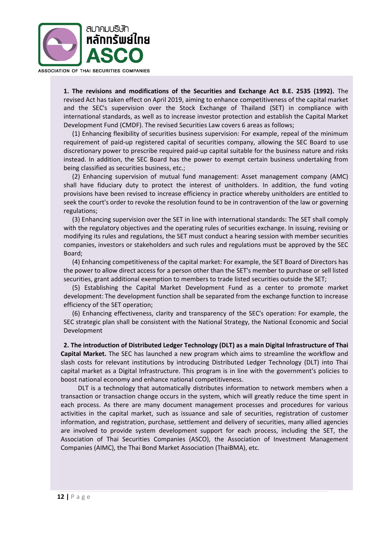

**1. The revisions and modifications of the Securities and Exchange Act B.E. 2535 (1992).** The revised Act has taken effect on April 2019, aiming to enhance competitiveness of the capital market and the SEC's supervision over the Stock Exchange of Thailand (SET) in compliance with international standards, as well as to increase investor protection and establish the Capital Market Development Fund (CMDF). The revised Securities Law covers 6 areas as follows;

(1) Enhancing flexibility of securities business supervision: For example, repeal of the minimum requirement of paid-up registered capital of securities company, allowing the SEC Board to use discretionary power to prescribe required paid-up capital suitable for the business nature and risks instead. In addition, the SEC Board has the power to exempt certain business undertaking from being classified as securities business, etc.;

(2) Enhancing supervision of mutual fund management: Asset management company (AMC) shall have fiduciary duty to protect the interest of unitholders. In addition, the fund voting provisions have been revised to increase efficiency in practice whereby unitholders are entitled to seek the court's order to revoke the resolution found to be in contravention of the law or governing regulations;

(3) Enhancing supervision over the SET in line with international standards: The SET shall comply with the regulatory objectives and the operating rules of securities exchange. In issuing, revising or modifying its rules and regulations, the SET must conduct a hearing session with member securities companies, investors or stakeholders and such rules and regulations must be approved by the SEC Board;

(4) Enhancing competitiveness of the capital market: For example, the SET Board of Directors has the power to allow direct access for a person other than the SET's member to purchase or sell listed securities, grant additional exemption to members to trade listed securities outside the SET;

(5) Establishing the Capital Market Development Fund as a center to promote market development: The development function shall be separated from the exchange function to increase efficiency of the SET operation;

(6) Enhancing effectiveness, clarity and transparency of the SEC's operation: For example, the SEC strategic plan shall be consistent with the National Strategy, the National Economic and Social Development

**2. The introduction of Distributed Ledger Technology (DLT) as a main Digital Infrastructure of Thai Capital Market.** The SEC has launched a new program which aims to streamline the workflow and slash costs for relevant institutions by introducing Distributed Ledger Technology (DLT) into Thai capital market as a Digital Infrastructure. This program is in line with the government's policies to boost national economy and enhance national competitiveness.

DLT is a technology that automatically distributes information to network members when a transaction or transaction change occurs in the system, which will greatly reduce the time spent in each process. As there are many document management processes and procedures for various activities in the capital market, such as issuance and sale of securities, registration of customer information, and registration, purchase, settlement and delivery of securities, many allied agencies are involved to provide system development support for each process, including the SET, the Association of Thai Securities Companies (ASCO), the Association of Investment Management Companies (AIMC), the Thai Bond Market Association (ThaiBMA), etc.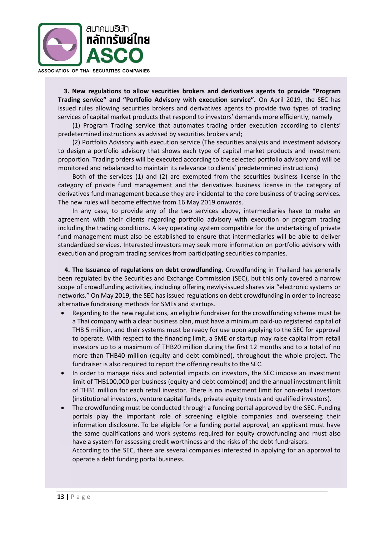

**3. New regulations to allow securities brokers and derivatives agents to provide "Program Trading service" and "Portfolio Advisory with execution service".** On April 2019, the SEC has issued rules allowing securities brokers and derivatives agents to provide two types of trading services of capital market products that respond to investors' demands more efficiently, namely

(1) Program Trading service that automates trading order execution according to clients' predetermined instructions as advised by securities brokers and;

(2) Portfolio Advisory with execution service (The securities analysis and investment advisory to design a portfolio advisory that shows each type of capital market products and investment proportion. Trading orders will be executed according to the selected portfolio advisory and will be monitored and rebalanced to maintain its relevance to clients' predetermined instructions)

Both of the services (1) and (2) are exempted from the securities business license in the category of private fund management and the derivatives business license in the category of derivatives fund management because they are incidental to the core business of trading services. The new rules will become effective from 16 May 2019 onwards.

In any case, to provide any of the two services above, intermediaries have to make an agreement with their clients regarding portfolio advisory with execution or program trading including the trading conditions. A key operating system compatible for the undertaking of private fund management must also be established to ensure that intermediaries will be able to deliver standardized services. Interested investors may seek more information on portfolio advisory with execution and program trading services from participating securities companies.

 **4. The Issuance of regulations on debt crowdfunding.** Crowdfunding in Thailand has generally been regulated by the Securities and Exchange Commission (SEC), but this only covered a narrow scope of crowdfunding activities, including offering newly-issued shares via "electronic systems or networks." On May 2019, the SEC has issued regulations on debt crowdfunding in order to increase alternative fundraising methods for SMEs and startups.

- Regarding to the new regulations, an eligible fundraiser for the crowdfunding scheme must be a Thai company with a clear business plan, must have a minimum paid-up registered capital of THB 5 million, and their systems must be ready for use upon applying to the SEC for approval to operate. With respect to the financing limit, a SME or startup may raise capital from retail investors up to a maximum of THB20 million during the first 12 months and to a total of no more than THB40 million (equity and debt combined), throughout the whole project. The fundraiser is also required to report the offering results to the SEC.
- In order to manage risks and potential impacts on investors, the SEC impose an investment limit of THB100,000 per business (equity and debt combined) and the annual investment limit of THB1 million for each retail investor. There is no investment limit for non-retail investors (institutional investors, venture capital funds, private equity trusts and qualified investors).
- The crowdfunding must be conducted through a funding portal approved by the SEC. Funding portals play the important role of screening eligible companies and overseeing their information disclosure. To be eligible for a funding portal approval, an applicant must have the same qualifications and work systems required for equity crowdfunding and must also have a system for assessing credit worthiness and the risks of the debt fundraisers.

According to the SEC, there are several companies interested in applying for an approval to operate a debt funding portal business.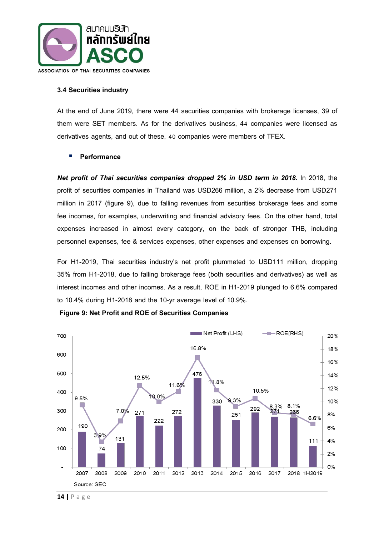

#### **3.4 Securities industry**

At the end of June 2019, there were 44 securities companies with brokerage licenses, 39 of them were SET members. As for the derivatives business, 44 companies were licensed as derivatives agents, and out of these, 40 companies were members of TFEX.

### **Performance**

**Net profit of Thai securities companies dropped 2% in USD term in 2018.** In 2018, the profit of securities companies in Thailand was USD266 million, a 2% decrease from USD271 million in 2017 (figure 9), due to falling revenues from securities brokerage fees and some fee incomes, for examples, underwriting and financial advisory fees. On the other hand, total expenses increased in almost every category, on the back of stronger THB, including personnel expenses, fee & services expenses, other expenses and expenses on borrowing.

For H1-2019, Thai securities industry's net profit plummeted to USD111 million, dropping 35% from H1-2018, due to falling brokerage fees (both securities and derivatives) as well as interest incomes and other incomes. As a result, ROE in H1-2019 plunged to 6.6% compared to 10.4% during H1-2018 and the 10-yr average level of 10.9%.



**Figure 9: Net Profit and ROE of Securities Companies**

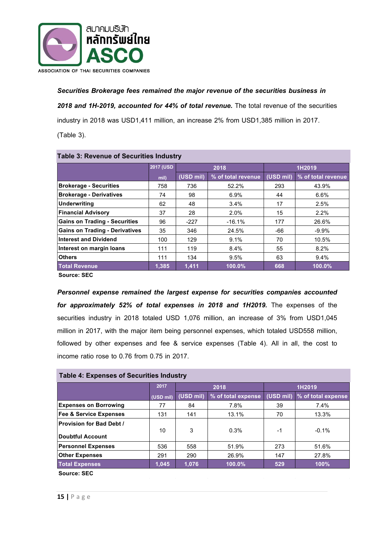

# *Securities Brokerage fees remained the major revenue of the securities business in*

*2018 and 1H-2019, accounted for 44% of total revenue.* The total revenue of the securities

industry in 2018 was USD1,411 million, an increase 2% from USD1,385 million in 2017.

(Table 3).

| <b>Table 3: Revenue of Securities Industry</b> |                   |                                 |          |           |                    |  |  |
|------------------------------------------------|-------------------|---------------------------------|----------|-----------|--------------------|--|--|
|                                                | <b>2017 (USD)</b> |                                 | 2018     | 1H2019    |                    |  |  |
|                                                | mil)              | (USD mil)<br>% of total revenue |          | (USD mil) | % of total revenue |  |  |
| <b>Brokerage - Securities</b>                  | 758               | 736                             | 52.2%    | 293       | 43.9%              |  |  |
| <b>Brokerage - Derivatives</b>                 | 74                | 98                              | $6.9\%$  | 44        | $6.6\%$            |  |  |
| Underwriting                                   | 62                | 48                              | 3.4%     | 17        | 2.5%               |  |  |
| <b>Financial Advisory</b>                      | 37                | 28                              | 2.0%     | 15        | 2.2%               |  |  |
| <b>Gains on Trading - Securities</b>           | 96                | $-227$                          | $-16.1%$ | 177       | 26.6%              |  |  |
| <b>Gains on Trading - Derivatives</b>          | 35                | 346                             | 24.5%    | -66       | $-9.9%$            |  |  |
| <b>Interest and Dividend</b>                   | 100               | 129                             | 9.1%     | 70        | 10.5%              |  |  |
| Interest on margin Ioans                       | 111               | 119                             | 8.4%     | 55        | 8.2%               |  |  |
| <b>Others</b>                                  | 111               | 134                             | 9.5%     | 63        | 9.4%               |  |  |
| <b>Total Revenue</b>                           | 1,385             | 1.411                           | 100.0%   | 668       | 100.0%             |  |  |
| $\sim$ $\sim$ $\sim$                           |                   |                                 |          |           |                    |  |  |

**Source: SEC**

*Personnel expense remained the largest expense for securities companies accounted for approximately 52% of total expenses in 2018 and 1H2019.* The expenses of the securities industry in 2018 totaled USD 1,076 million, an increase of 3% from USD1,045 million in 2017, with the major item being personnel expenses, which totaled USD558 million, followed by other expenses and fee & service expenses (Table 4). All in all, the cost to income ratio rose to 0.76 from 0.75 in 2017.

| <b>Table 4: Expenses of Securities Industry</b> |  |  |
|-------------------------------------------------|--|--|
|-------------------------------------------------|--|--|

|                                                     | 2017      |                                 | 2018   | 1H2019    |                    |  |
|-----------------------------------------------------|-----------|---------------------------------|--------|-----------|--------------------|--|
|                                                     | (USD mil) | (USD mil)<br>% of total expense |        | (USD mil) | % of total expense |  |
| <b>Expenses on Borrowing</b>                        | 77        | 84                              | 7.8%   | 39        | 7.4%               |  |
| <b>Fee &amp; Service Expenses</b>                   | 131       | 141                             | 13.1%  | 70        | 13.3%              |  |
| <b>Provision for Bad Debt /</b><br>Doubtful Account | 10        | 3                               | 0.3%   | -1        | $-0.1%$            |  |
| <b>Personnel Expenses</b>                           | 536       | 558                             | 51.9%  | 273       | 51.6%              |  |
| <b>Other Expenses</b>                               | 291       | 290                             | 26.9%  | 147       | 27.8%              |  |
| <b>Total Expenses</b>                               | 1,045     | 1,076                           | 100.0% | 529       | 100%               |  |
|                                                     |           |                                 |        |           |                    |  |

**Source: SEC**